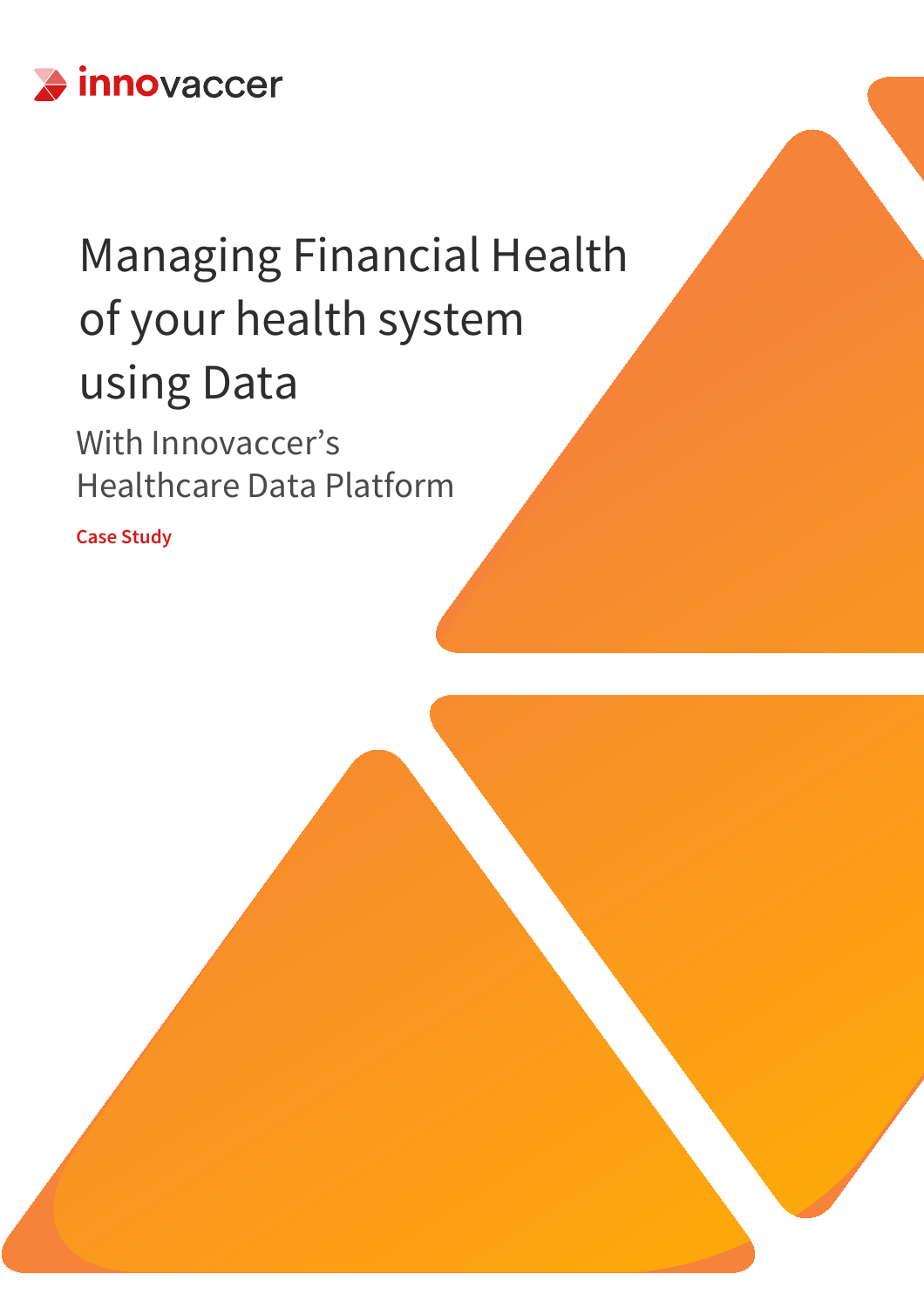

# Managing Financial Health of your health system using Data

With Innovaccer's Healthcare Data Platform

**Case Study**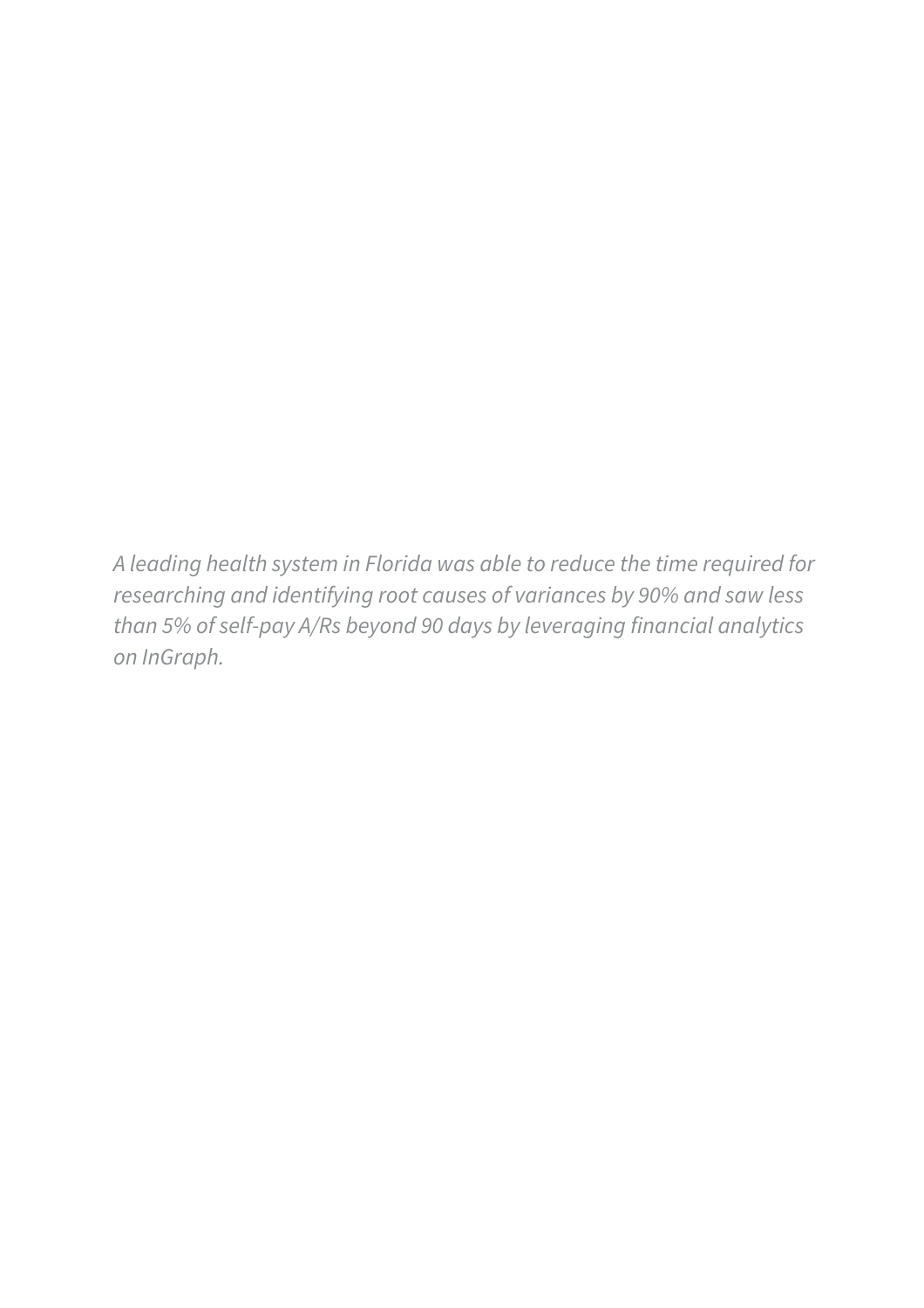*A leading health system in Florida was able to reduce the time required for researching and identifying root causes of variances by 90% and saw less than 5% of self-pay A/Rs beyond 90 days by leveraging financial analytics on InGraph.*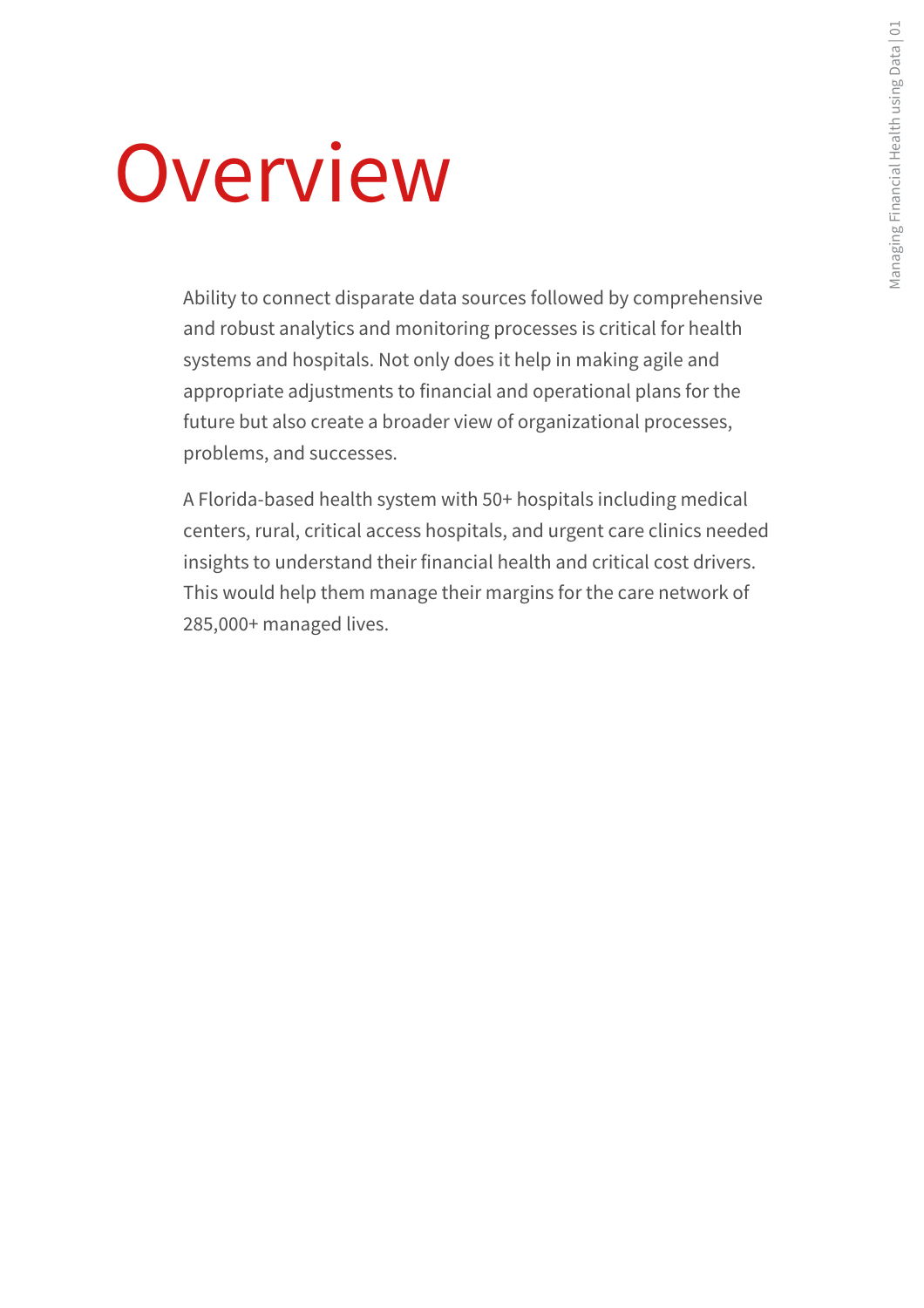# Overview

Ability to connect disparate data sources followed by comprehensive and robust analytics and monitoring processes is critical for health systems and hospitals. Not only does it help in making agile and appropriate adjustments to financial and operational plans for the future but also create a broader view of organizational processes, problems, and successes.

A Florida-based health system with 50+ hospitals including medical centers, rural, critical access hospitals, and urgent care clinics needed insights to understand their financial health and critical cost drivers. This would help them manage their margins for the care network of 285,000+ managed lives.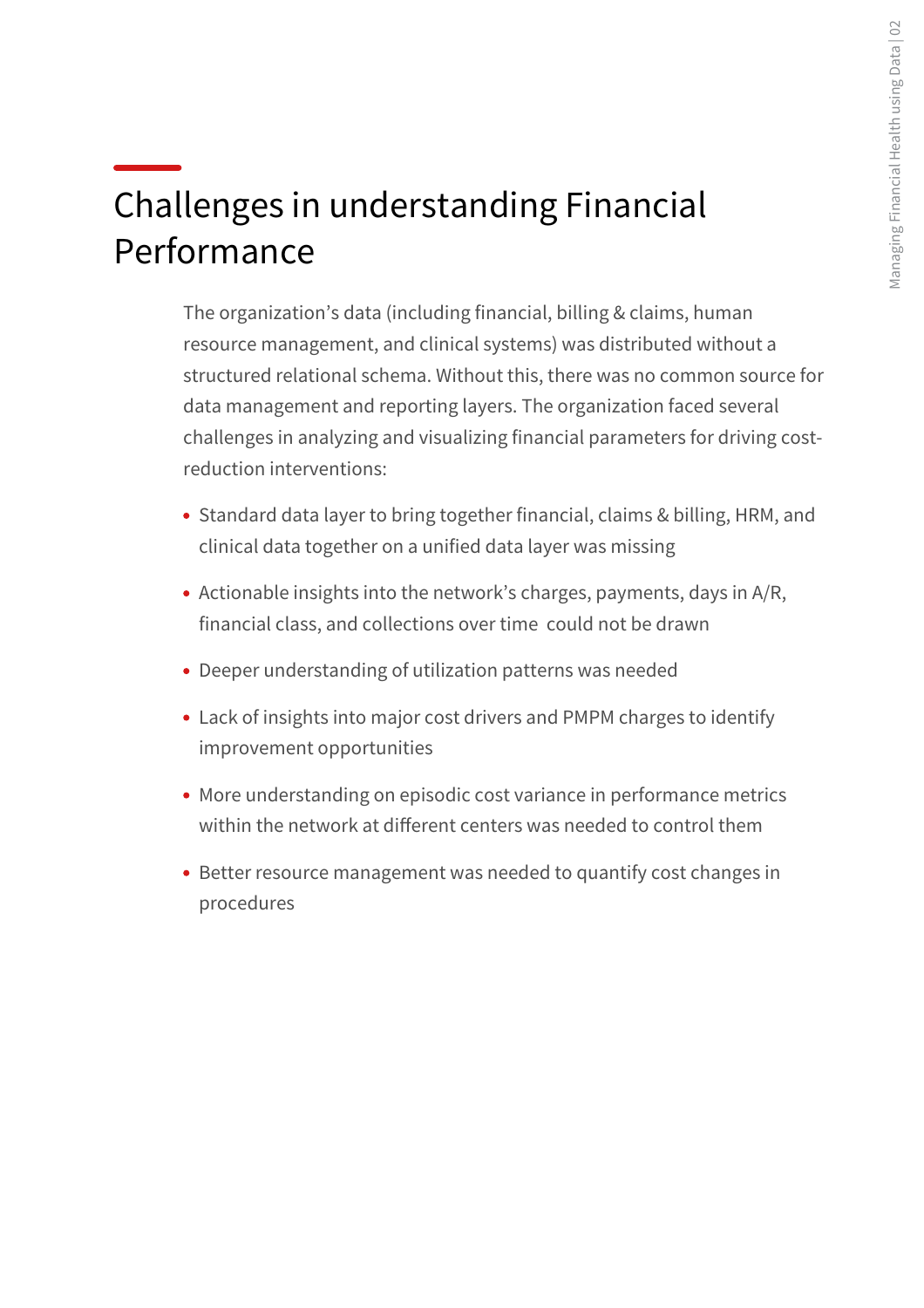# Challenges in understanding Financial Performance

The organization's data (including financial, billing & claims, human resource management, and clinical systems) was distributed without a structured relational schema. Without this, there was no common source for data management and reporting layers. The organization faced several challenges in analyzing and visualizing financial parameters for driving costreduction interventions:

- Standard data layer to bring together financial, claims & billing, HRM, and clinical data together on a unified data layer was missing
- Actionable insights into the network's charges, payments, days in A/R, financial class, and collections over time could not be drawn
- Deeper understanding of utilization patterns was needed
- Lack of insights into major cost drivers and PMPM charges to identify improvement opportunities
- More understanding on episodic cost variance in performance metrics within the network at diferent centers was needed to control them
- Better resource management was needed to quantify cost changes in procedures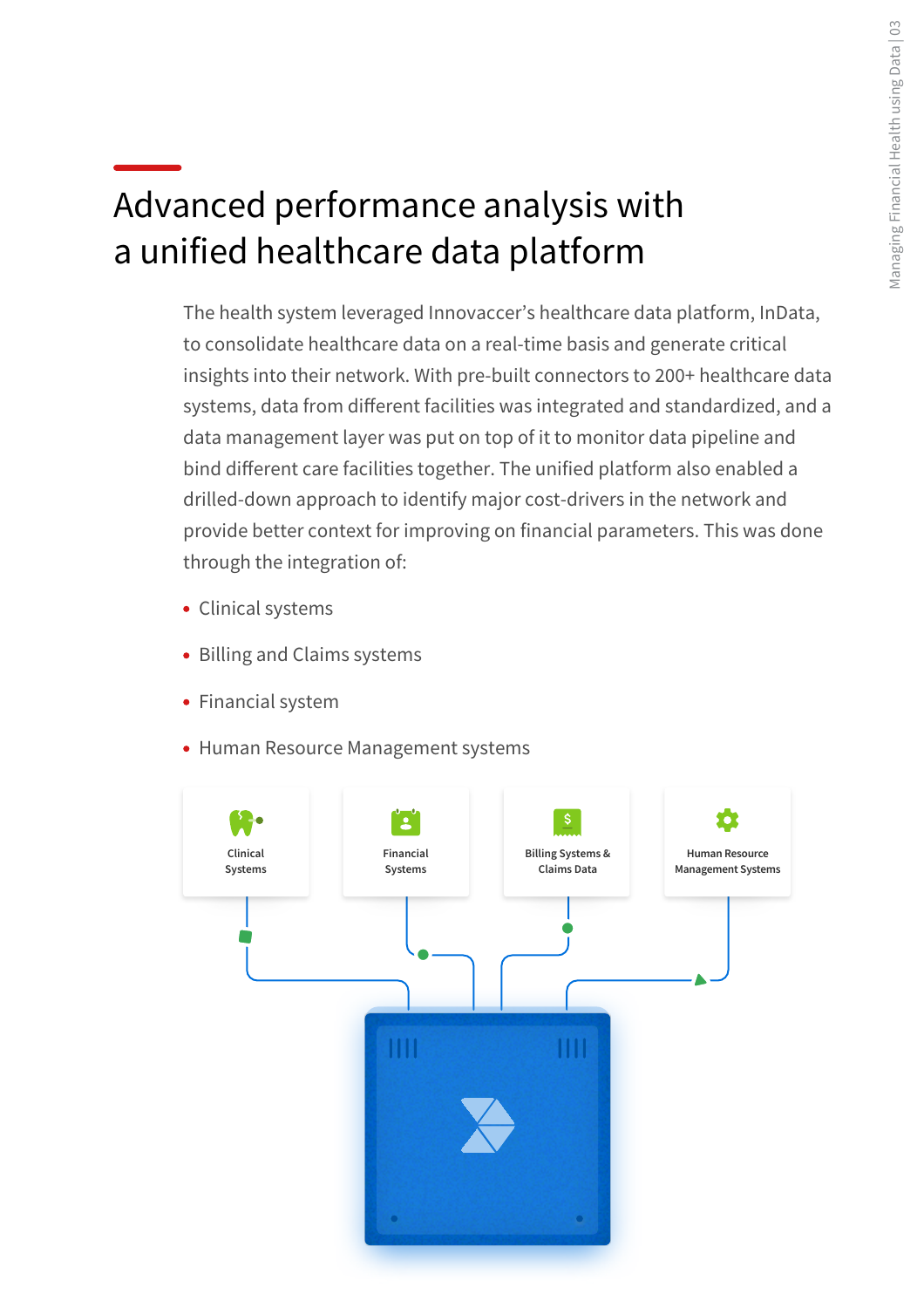# Advanced performance analysis with a unified healthcare data platform

The health system leveraged Innovaccer's healthcare data platform, InData, to consolidate healthcare data on a real-time basis and generate critical insights into their network. With pre-built connectors to 200+ healthcare data systems, data from diferent facilities was integrated and standardized, and a data management layer was put on top of it to monitor data pipeline and bind diferent care facilities together. The unified platform also enabled a drilled-down approach to identify major cost-drivers in the network and provide better context for improving on financial parameters. This was done through the integration of:

- Clinical systems
- Billing and Claims systems
- Financial system
- Human Resource Management systems

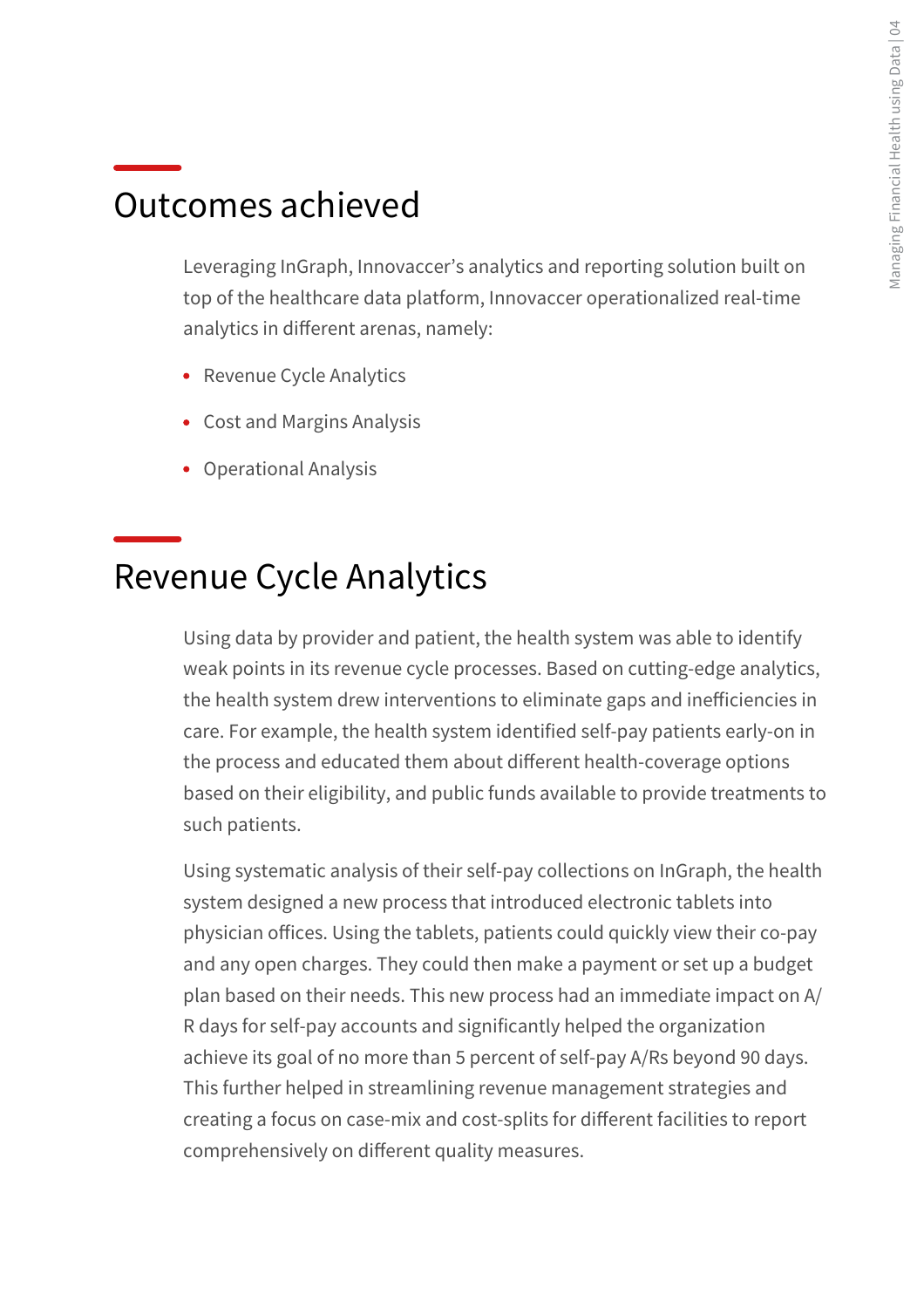#### Outcomes achieved

Leveraging InGraph, Innovaccer's analytics and reporting solution built on top of the healthcare data platform, Innovaccer operationalized real-time analytics in diferent arenas, namely:

- Revenue Cycle Analytics
- Cost and Margins Analysis
- Operational Analysis

#### Revenue Cycle Analytics

Using data by provider and patient, the health system was able to identify weak points in its revenue cycle processes. Based on cutting-edge analytics, the health system drew interventions to eliminate gaps and ineficiencies in care. For example, the health system identified self-pay patients early-on in the process and educated them about diferent health-coverage options based on their eligibility, and public funds available to provide treatments to such patients.

Using systematic analysis of their self-pay collections on InGraph, the health system designed a new process that introduced electronic tablets into physician ofices. Using the tablets, patients could quickly view their co-pay and any open charges. They could then make a payment or set up a budget plan based on their needs. This new process had an immediate impact on A/ R days for self-pay accounts and significantly helped the organization achieve its goal of no more than 5 percent of self-pay A/Rs beyond 90 days. This further helped in streamlining revenue management strategies and creating a focus on case-mix and cost-splits for diferent facilities to report comprehensively on diferent quality measures.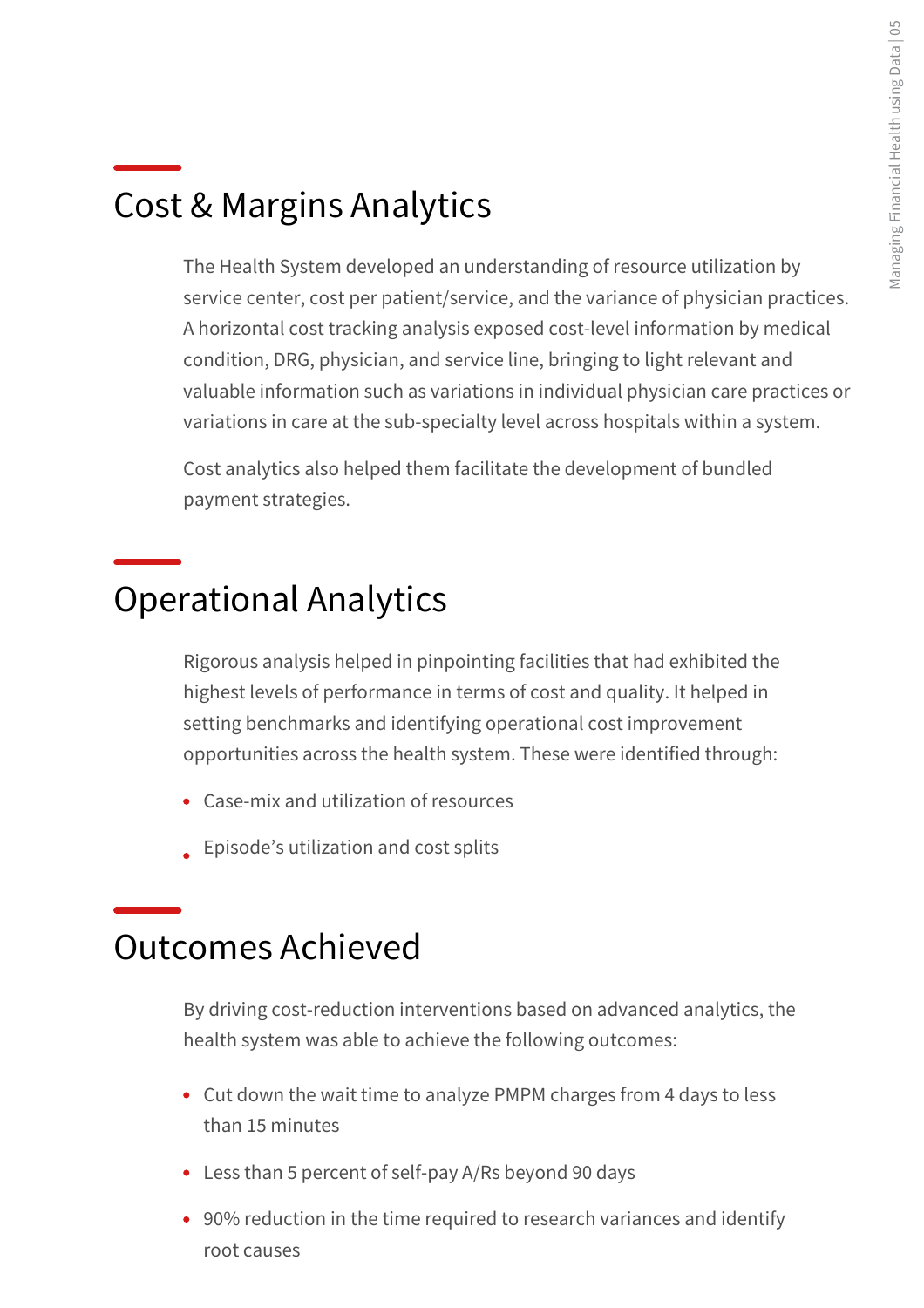### Cost & Margins Analytics

The Health System developed an understanding of resource utilization by service center, cost per patient/service, and the variance of physician practices. A horizontal cost tracking analysis exposed cost-level information by medical condition, DRG, physician, and service line, bringing to light relevant and valuable information such as variations in individual physician care practices or variations in care at the sub-specialty level across hospitals within a system.

Cost analytics also helped them facilitate the development of bundled payment strategies.

#### Operational Analytics

Rigorous analysis helped in pinpointing facilities that had exhibited the highest levels of performance in terms of cost and quality. It helped in setting benchmarks and identifying operational cost improvement opportunities across the health system. These were identified through:

- Case-mix and utilization of resources
- **Episode's utilization and cost splits**

#### Outcomes Achieved

By driving cost-reduction interventions based on advanced analytics, the health system was able to achieve the following outcomes:

- Cut down the wait time to analyze PMPM charges from 4 days to less than 15 minutes
- Less than 5 percent of self-pay A/Rs beyond 90 days
- 90% reduction in the time required to research variances and identify root causes